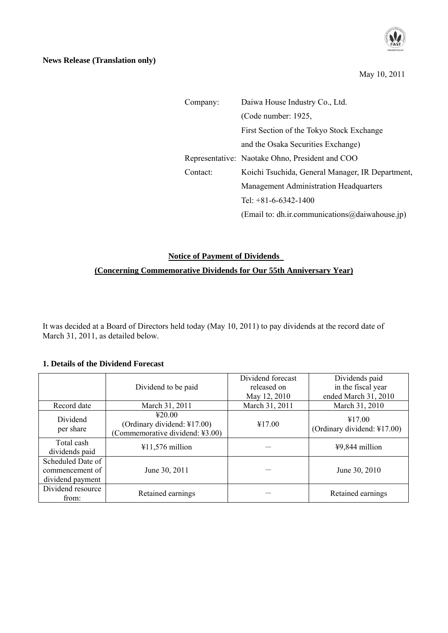| Company: | Daiwa House Industry Co., Ltd.                   |  |  |
|----------|--------------------------------------------------|--|--|
|          | (Code number: 1925,                              |  |  |
|          | First Section of the Tokyo Stock Exchange        |  |  |
|          | and the Osaka Securities Exchange)               |  |  |
|          | Representative: Naotake Ohno, President and COO  |  |  |
| Contact: | Koichi Tsuchida, General Manager, IR Department, |  |  |
|          | <b>Management Administration Headquarters</b>    |  |  |
|          | Tel: $+81-6-6342-1400$                           |  |  |
|          | (Email to: dh.ir.communications@daiwahouse.jp)   |  |  |

# **Notice of Payment of Dividends (Concerning Commemorative Dividends for Our 55th Anniversary Year)**

It was decided at a Board of Directors held today (May 10, 2011) to pay dividends at the record date of March 31, 2011, as detailed below.

## **1. Details of the Dividend Forecast**

|                                                          |                                                                          | Dividend forecast | Dividends paid                        |
|----------------------------------------------------------|--------------------------------------------------------------------------|-------------------|---------------------------------------|
|                                                          | Dividend to be paid                                                      | released on       | in the fiscal year                    |
|                                                          |                                                                          | May 12, 2010      | ended March 31, 2010                  |
| Record date                                              | March 31, 2011                                                           | March 31, 2011    | March 31, 2010                        |
| Dividend<br>per share                                    | 420.00<br>(Ordinary dividend: ¥17.00)<br>(Commemorative dividend: ¥3.00) | ¥17.00            | ¥17.00<br>(Ordinary dividend: ¥17.00) |
| Total cash<br>dividends paid                             | $411,576$ million                                                        |                   | ¥9,844 million                        |
| Scheduled Date of<br>commencement of<br>dividend payment | June 30, 2011                                                            |                   | June 30, 2010                         |
| Dividend resource<br>from:                               | Retained earnings                                                        |                   | Retained earnings                     |